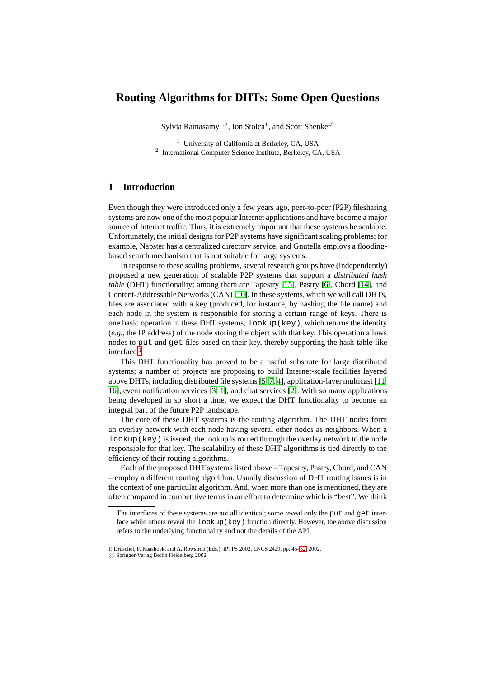# **Routing Algorithms for DHTs: Some Open Questions**

Sylvia Ratnasamy<sup>1,2</sup>, Ion Stoica<sup>1</sup>, and Scott Shenker<sup>2</sup>

<sup>1</sup> University of California at Berkeley, CA, USA <sup>2</sup> International Computer Science Institute, Berkeley, CA, USA

#### **1 Introduction**

Even though they were introduced only a few years ago, peer-to-peer (P2P) filesharing systems are now one of the most popular Internet applications and have become a major source of Internet traffic. Thus, it is extremely important that these systems be scalable. Unfortunately, the initial designs for P2P systems have significant scaling problems; for example, Napster has a centralized directory service, and Gnutella employs a floodingbased search mechanism that is not suitable for large systems.

In response to these scaling problems, several research groups have (independently) proposed a new generation of scalable P2P systems that support a *distributed hash table* (DHT) functionality; among them are Tapestry [\[15\]](#page-7-0), Pastry [\[6\]](#page-6-0), Chord [\[14\]](#page-7-1), and Content-Addressable Networks (CAN) [\[10\]](#page-6-1). In these systems, which we will call DHTs, files are associated with a key (produced, for instance, by hashing the file name) and each node in the system is responsible for storing a certain range of keys. There is one basic operation in these DHT systems, lookup(key), which returns the identity (*e.g.*, the IP address) of the node storing the object with that key. This operation allows nodes to put and get files based on their key, thereby supporting the hash-table-like interface.<sup>[1](#page-0-0)</sup>

This DHT functionality has proved to be a useful substrate for large distributed systems; a number of projects are proposing to build Internet-scale facilities layered above DHTs, including distributed file systems [\[5,](#page-6-2) [7,](#page-6-3) [4\]](#page-6-4), application-layer multicast [\[11,](#page-6-5) [16\]](#page-7-2), event notification services [\[3,](#page-6-6) [1\]](#page-6-7), and chat services [\[2\]](#page-6-8). With so many applications being developed in so short a time, we expect the DHT functionality to become an integral part of the future P2P landscape.

The core of these DHT systems is the routing algorithm. The DHT nodes form an overlay network with each node having several other nodes as neighbors. When a lookup(key) is issued, the lookup is routed through the overlay network to the node responsible for that key. The scalability of these DHT algorithms is tied directly to the efficiency of their routing algorithms.

Each of the proposed DHT systems listed above – Tapestry, Pastry, Chord, and CAN – employ a different routing algorithm. Usually discussion of DHT routing issues is in the context of one particular algorithm. And, when more than one is mentioned, they are often compared in competitive terms in an effort to determine which is "best". We think

<span id="page-0-0"></span><sup>1</sup> The interfaces of these systems are not all identical; some reveal only the put and get interface while others reveal the lookup(key) function directly. However, the above discussion refers to the underlying functionality and not the details of the API.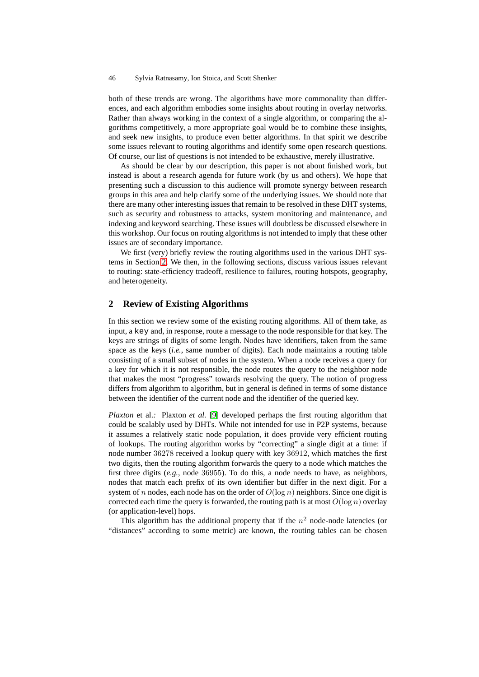both of these trends are wrong. The algorithms have more commonality than differences, and each algorithm embodies some insights about routing in overlay networks. Rather than always working in the context of a single algorithm, or comparing the algorithms competitively, a more appropriate goal would be to combine these insights, and seek new insights, to produce even better algorithms. In that spirit we describe some issues relevant to routing algorithms and identify some open research questions. Of course, our list of questions is not intended to be exhaustive, merely illustrative.

As should be clear by our description, this paper is not about finished work, but instead is about a research agenda for future work (by us and others). We hope that presenting such a discussion to this audience will promote synergy between research groups in this area and help clarify some of the underlying issues. We should note that there are many other interesting issues that remain to be resolved in these DHT systems, such as security and robustness to attacks, system monitoring and maintenance, and indexing and keyword searching. These issues will doubtless be discussed elsewhere in this workshop. Our focus on routing algorithms is not intended to imply that these other issues are of secondary importance.

We first (very) briefly review the routing algorithms used in the various DHT systems in Section [2.](#page-1-0) We then, in the following sections, discuss various issues relevant to routing: state-efficiency tradeoff, resilience to failures, routing hotspots, geography, and heterogeneity.

#### <span id="page-1-0"></span>**2 Review of Existing Algorithms**

In this section we review some of the existing routing algorithms. All of them take, as input, a key and, in response, route a message to the node responsible for that key. The keys are strings of digits of some length. Nodes have identifiers, taken from the same space as the keys (*i.e.*, same number of digits). Each node maintains a routing table consisting of a small subset of nodes in the system. When a node receives a query for a key for which it is not responsible, the node routes the query to the neighbor node that makes the most "progress" towards resolving the query. The notion of progress differs from algorithm to algorithm, but in general is defined in terms of some distance between the identifier of the current node and the identifier of the queried key.

*Plaxton* et al.*:* Plaxton *et al.* [\[9\]](#page-6-9) developed perhaps the first routing algorithm that could be scalably used by DHTs. While not intended for use in P2P systems, because it assumes a relatively static node population, it does provide very efficient routing of lookups. The routing algorithm works by "correcting" a single digit at a time: if node number 36278 received a lookup query with key 36912, which matches the first two digits, then the routing algorithm forwards the query to a node which matches the first three digits (*e.g.*, node 36955). To do this, a node needs to have, as neighbors, nodes that match each prefix of its own identifier but differ in the next digit. For a system of *<sup>n</sup>* nodes, each node has on the order of *<sup>O</sup>*(log *<sup>n</sup>*) neighbors. Since one digit is corrected each time the query is forwarded, the routing path is at most  $O(\log n)$  overlay (or application-level) hops.

This algorithm has the additional property that if the  $n<sup>2</sup>$  node-node latencies (or "distances" according to some metric) are known, the routing tables can be chosen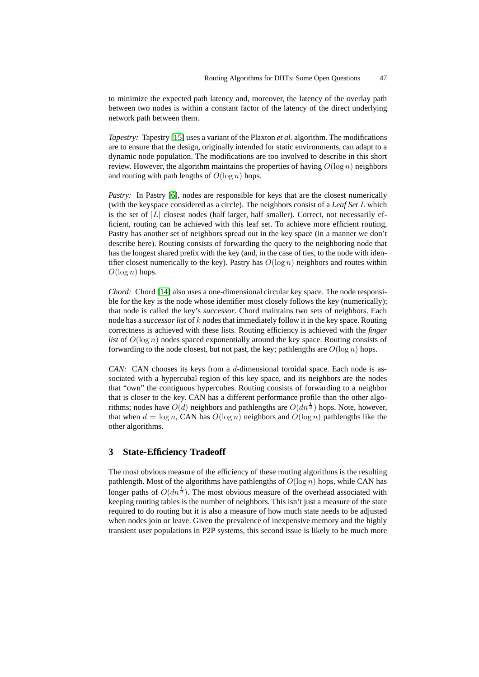to minimize the expected path latency and, moreover, the latency of the overlay path between two nodes is within a constant factor of the latency of the direct underlying network path between them.

*Tapestry:* Tapestry [\[15\]](#page-7-0) uses a variant of the Plaxton *et al.* algorithm. The modifications are to ensure that the design, originally intended for static environments, can adapt to a dynamic node population. The modifications are too involved to describe in this short review. However, the algorithm maintains the properties of having  $O(\log n)$  neighbors and routing with path lengths of *<sup>O</sup>*(log *<sup>n</sup>*) hops.

*Pastry:* In Pastry [\[6\]](#page-6-0), nodes are responsible for keys that are the closest numerically (with the keyspace considered as a circle). The neighbors consist of a *Leaf Set L* which is the set of  $|L|$  closest nodes (half larger, half smaller). Correct, not necessarily efficient, routing can be achieved with this leaf set. To achieve more efficient routing, Pastry has another set of neighbors spread out in the key space (in a manner we don't describe here). Routing consists of forwarding the query to the neighboring node that has the longest shared prefix with the key (and, in the case of ties, to the node with identifier closest numerically to the key). Pastry has  $O(\log n)$  neighbors and routes within  $O(\log n)$  hops.

*Chord:* Chord [\[14\]](#page-7-1) also uses a one-dimensional circular key space. The node responsible for the key is the node whose identifier most closely follows the key (numerically); that node is called the key's *successor*. Chord maintains two sets of neighbors. Each node has a *successor list* of *k* nodes that immediately follow it in the key space. Routing correctness is achieved with these lists. Routing efficiency is achieved with the *finger list* of *<sup>O</sup>*(log *<sup>n</sup>*) nodes spaced exponentially around the key space. Routing consists of forwarding to the node closest, but not past, the key; pathlengths are  $O(\log n)$  hops.

*CAN:* CAN chooses its keys from a *d*-dimensional toroidal space. Each node is associated with a hypercubal region of this key space, and its neighbors are the nodes that "own" the contiguous hypercubes. Routing consists of forwarding to a neighbor that is closer to the key. CAN has a different performance profile than the other algorithms; nodes have  $O(d)$  neighbors and pathlengths are  $O(dn^{\frac{1}{d}})$  hops. Note, however, that when  $d = \log n$ , CAN has  $O(\log n)$  peighbors and  $O(\log n)$  pathlengths like the that when  $d = \log n$ , CAN has  $O(\log n)$  neighbors and  $O(\log n)$  pathlengths like the other algorithms.

## **3 State-Efficiency Tradeoff**

The most obvious measure of the efficiency of these routing algorithms is the resulting pathlength. Most of the algorithms have pathlengths of  $O(\log n)$  hops, while CAN has longer paths of  $O(dn^{\frac{1}{d}})$ . The most obvious measure of the overhead associated with keeping routing tables is the number of peighbors. This isn't just a measure of the state keeping routing tables is the number of neighbors. This isn't just a measure of the state required to do routing but it is also a measure of how much state needs to be adjusted when nodes join or leave. Given the prevalence of inexpensive memory and the highly transient user populations in P2P systems, this second issue is likely to be much more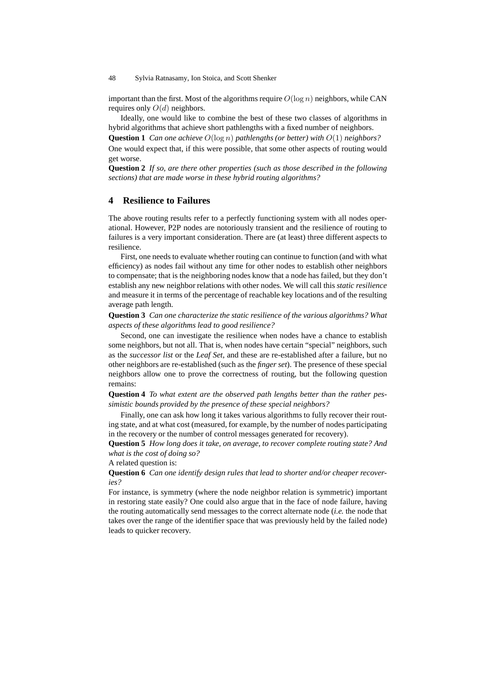important than the first. Most of the algorithms require  $O(\log n)$  neighbors, while CAN requires only  $O(d)$  neighbors.

Ideally, one would like to combine the best of these two classes of algorithms in hybrid algorithms that achieve short pathlengths with a fixed number of neighbors.

**Question 1** *Can one achieve <sup>O</sup>*(log *<sup>n</sup>*) *pathlengths (or better) with <sup>O</sup>*(1) *neighbors?*

One would expect that, if this were possible, that some other aspects of routing would get worse.

**Question 2** *If so, are there other properties (such as those described in the following sections) that are made worse in these hybrid routing algorithms?*

## **4 Resilience to Failures**

The above routing results refer to a perfectly functioning system with all nodes operational. However, P2P nodes are notoriously transient and the resilience of routing to failures is a very important consideration. There are (at least) three different aspects to resilience.

First, one needs to evaluate whether routing can continue to function (and with what efficiency) as nodes fail without any time for other nodes to establish other neighbors to compensate; that is the neighboring nodes know that a node has failed, but they don't establish any new neighbor relations with other nodes. We will call this *static resilience* and measure it in terms of the percentage of reachable key locations and of the resulting average path length.

**Question 3** *Can one characterize the static resilience of the various algorithms? What aspects of these algorithms lead to good resilience?*

Second, one can investigate the resilience when nodes have a chance to establish some neighbors, but not all. That is, when nodes have certain "special" neighbors, such as the *successor list* or the *Leaf Set*, and these are re-established after a failure, but no other neighbors are re-established (such as the *finger set*). The presence of these special neighbors allow one to prove the correctness of routing, but the following question remains:

**Question 4** *To what extent are the observed path lengths better than the rather pessimistic bounds provided by the presence of these special neighbors?*

Finally, one can ask how long it takes various algorithms to fully recover their routing state, and at what cost (measured, for example, by the number of nodes participating in the recovery or the number of control messages generated for recovery).

**Question 5** *How long does it take, on average, to recover complete routing state? And what is the cost of doing so?*

A related question is:

**Question 6** *Can one identify design rules that lead to shorter and/or cheaper recoveries?*

For instance, is symmetry (where the node neighbor relation is symmetric) important in restoring state easily? One could also argue that in the face of node failure, having the routing automatically send messages to the correct alternate node (*i.e.* the node that takes over the range of the identifier space that was previously held by the failed node) leads to quicker recovery.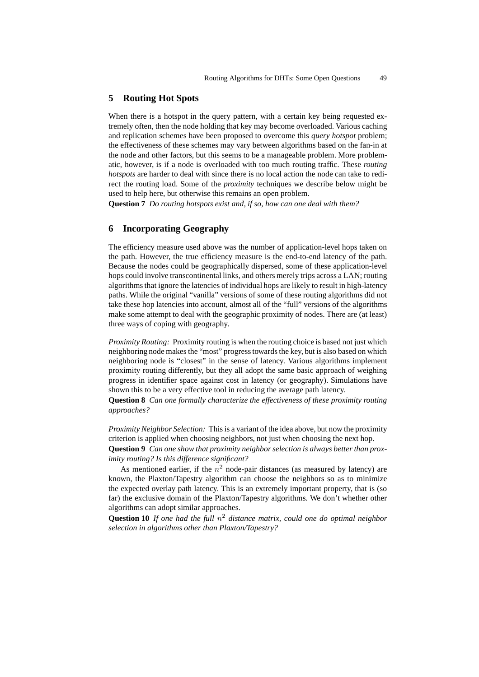#### **5 Routing Hot Spots**

When there is a hotspot in the query pattern, with a certain key being requested extremely often, then the node holding that key may become overloaded. Various caching and replication schemes have been proposed to overcome this *query hotspot* problem; the effectiveness of these schemes may vary between algorithms based on the fan-in at the node and other factors, but this seems to be a manageable problem. More problematic, however, is if a node is overloaded with too much routing traffic. These *routing hotspots* are harder to deal with since there is no local action the node can take to redirect the routing load. Some of the *proximity* techniques we describe below might be used to help here, but otherwise this remains an open problem.

**Question 7** *Do routing hotspots exist and, if so, how can one deal with them?*

## **6 Incorporating Geography**

The efficiency measure used above was the number of application-level hops taken on the path. However, the true efficiency measure is the end-to-end latency of the path. Because the nodes could be geographically dispersed, some of these application-level hops could involve transcontinental links, and others merely trips across a LAN; routing algorithms that ignore the latencies of individual hops are likely to result in high-latency paths. While the original "vanilla" versions of some of these routing algorithms did not take these hop latencies into account, almost all of the "full" versions of the algorithms make some attempt to deal with the geographic proximity of nodes. There are (at least) three ways of coping with geography.

*Proximity Routing:* Proximity routing is when the routing choice is based not just which neighboring node makes the "most" progress towards the key, but is also based on which neighboring node is "closest" in the sense of latency. Various algorithms implement proximity routing differently, but they all adopt the same basic approach of weighing progress in identifier space against cost in latency (or geography). Simulations have shown this to be a very effective tool in reducing the average path latency.

**Question 8** *Can one formally characterize the effectiveness of these proximity routing approaches?*

*Proximity Neighbor Selection:* This is a variant of the idea above, but now the proximity criterion is applied when choosing neighbors, not just when choosing the next hop.

**Question 9** *Can one show that proximity neighbor selection is always better than proximity routing? Is this difference significant?*

As mentioned earlier, if the  $n^2$  node-pair distances (as measured by latency) are known, the Plaxton/Tapestry algorithm can choose the neighbors so as to minimize the expected overlay path latency. This is an extremely important property, that is (so far) the exclusive domain of the Plaxton/Tapestry algorithms. We don't whether other algorithms can adopt similar approaches.

**Question 10** *If one had the full n*<sup>2</sup> *distance matrix, could one do optimal neighbor selection in algorithms other than Plaxton/Tapestry?*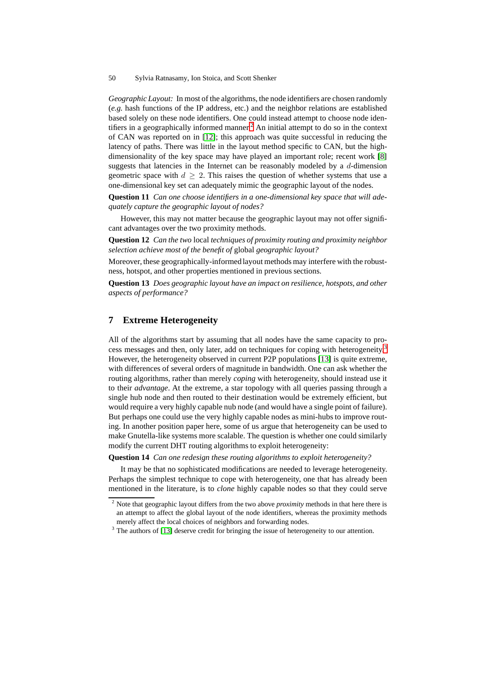*Geographic Layout:* In most of the algorithms, the node identifiers are chosen randomly (*e.g.* hash functions of the IP address, etc.) and the neighbor relations are established based solely on these node identifiers. One could instead attempt to choose node iden-tifiers in a geographically informed manner.<sup>[2](#page-5-0)</sup> An initial attempt to do so in the context of CAN was reported on in [\[12\]](#page-6-10); this approach was quite successful in reducing the latency of paths. There was little in the layout method specific to CAN, but the highdimensionality of the key space may have played an important role; recent work [\[8\]](#page-6-11) suggests that latencies in the Internet can be reasonably modeled by a *d*-dimension geometric space with  $d > 2$ . This raises the question of whether systems that use a one-dimensional key set can adequately mimic the geographic layout of the nodes.

**Question 11** *Can one choose identifiers in a one-dimensional key space that will adequately capture the geographic layout of nodes?*

However, this may not matter because the geographic layout may not offer significant advantages over the two proximity methods.

**Question 12** *Can the two* local *techniques of proximity routing and proximity neighbor selection achieve most of the benefit of* global *geographic layout?*

Moreover, these geographically-informed layout methods may interfere with the robustness, hotspot, and other properties mentioned in previous sections.

**Question 13** *Does geographic layout have an impact on resilience, hotspots, and other aspects of performance?*

## **7 Extreme Heterogeneity**

All of the algorithms start by assuming that all nodes have the same capacity to process messages and then, only later, add on techniques for coping with heterogeneity.<sup>3</sup> However, the heterogeneity observed in current P2P populations [\[13\]](#page-6-12) is quite extreme, with differences of several orders of magnitude in bandwidth. One can ask whether the routing algorithms, rather than merely *coping* with heterogeneity, should instead use it to their *advantage*. At the extreme, a star topology with all queries passing through a single hub node and then routed to their destination would be extremely efficient, but would require a very highly capable nub node (and would have a single point of failure). But perhaps one could use the very highly capable nodes as mini-hubs to improve routing. In another position paper here, some of us argue that heterogeneity can be used to make Gnutella-like systems more scalable. The question is whether one could similarly modify the current DHT routing algorithms to exploit heterogeneity:

**Question 14** *Can one redesign these routing algorithms to exploit heterogeneity?*

It may be that no sophisticated modifications are needed to leverage heterogeneity. Perhaps the simplest technique to cope with heterogeneity, one that has already been mentioned in the literature, is to *clone* highly capable nodes so that they could serve

<span id="page-5-0"></span><sup>2</sup> Note that geographic layout differs from the two above *proximity* methods in that here there is an attempt to affect the global layout of the node identifiers, whereas the proximity methods merely affect the local choices of neighbors and forwarding nodes.

<span id="page-5-1"></span><sup>&</sup>lt;sup>3</sup> The authors of [\[13\]](#page-6-12) deserve credit for bringing the issue of heterogeneity to our attention.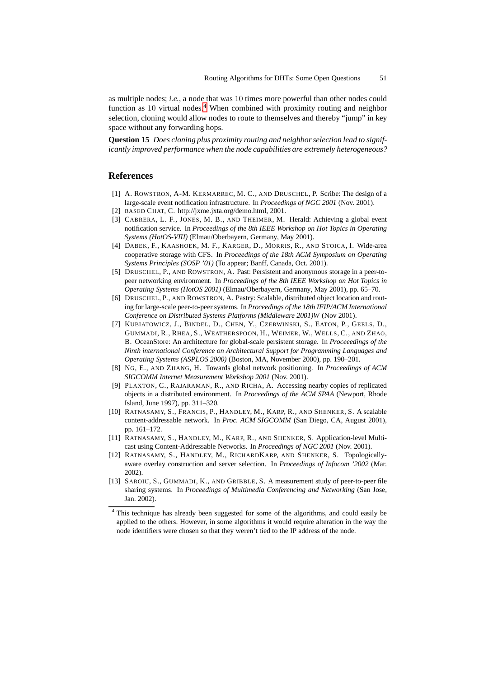as multiple nodes; *i.e.*, a node that was 10 times more powerful than other nodes could function as 10 virtual nodes.<sup>[4](#page-6-13)</sup> When combined with proximity routing and neighbor selection, cloning would allow nodes to route to themselves and thereby "jump" in key space without any forwarding hops.

**Question 15** *Does cloning plus proximity routing and neighbor selection lead to significantly improved performance when the node capabilities are extremely heterogeneous?*

#### <span id="page-6-7"></span>**References**

- [1] A. ROWSTRON, A-M. KERMARREC, M. C., AND DRUSCHEL, P. Scribe: The design of a large-scale event notification infrastructure. In *Proceedings of NGC 2001* (Nov. 2001).
- <span id="page-6-8"></span><span id="page-6-6"></span>[2] BASED CHAT, C. http://jxme.jxta.org/demo.html, 2001.
- [3] CABRERA, L. F., JONES, M. B., AND THEIMER, M. Herald: Achieving a global event notification service. In *Proceedings of the 8th IEEE Workshop on Hot Topics in Operating Systems (HotOS-VIII)* (Elmau/Oberbayern, Germany, May 2001).
- <span id="page-6-4"></span>[4] DABEK, F., KAASHOEK, M. F., KARGER, D., MORRIS, R., AND STOICA, I. Wide-area cooperative storage with CFS. In *Proceedings of the 18th ACM Symposium on Operating Systems Principles (SOSP '01)* (To appear; Banff, Canada, Oct. 2001).
- <span id="page-6-2"></span>[5] DRUSCHEL, P., AND ROWSTRON, A. Past: Persistent and anonymous storage in a peer-topeer networking environment. In *Proceedings of the 8th IEEE Workshop on Hot Topics in Operating Systems (HotOS 2001)* (Elmau/Oberbayern, Germany, May 2001), pp. 65–70.
- <span id="page-6-0"></span>[6] DRUSCHEL, P., AND ROWSTRON, A. Pastry: Scalable, distributed object location and routing for large-scale peer-to-peer systems. In *Proceedings of the 18th IFIP/ACM International Conference on Distributed Systems Platforms (Middleware 2001)W* (Nov 2001).
- <span id="page-6-3"></span>[7] KUBIATOWICZ, J., BINDEL, D., CHEN, Y., CZERWINSKI, S., EATON, P., GEELS, D., GUMMADI, R., RHEA, S., WEATHERSPOON, H., WEIMER, W., WELLS, C., AND ZHAO, B. OceanStore: An architecture for global-scale persistent storage. In *Proceeedings of the Ninth international Conference on Architectural Support for Programming Languages and Operating Systems (ASPLOS 2000)* (Boston, MA, November 2000), pp. 190–201.
- <span id="page-6-11"></span>[8] NG, E., AND ZHANG, H. Towards global network positioning. In *Proceedings of ACM SIGCOMM Internet Measurement Workshop 2001* (Nov. 2001).
- <span id="page-6-9"></span>[9] PLAXTON, C., RAJARAMAN, R., AND RICHA, A. Accessing nearby copies of replicated objects in a distributed environment. In *Proceedings of the ACM SPAA* (Newport, Rhode Island, June 1997), pp. 311–320.
- <span id="page-6-1"></span>[10] RATNASAMY, S., FRANCIS, P., HANDLEY, M., KARP, R., AND SHENKER, S. A scalable content-addressable network. In *Proc. ACM SIGCOMM* (San Diego, CA, August 2001), pp. 161–172.
- <span id="page-6-5"></span>[11] RATNASAMY, S., HANDLEY, M., KARP, R., AND SHENKER, S. Application-level Multicast using Content-Addressable Networks. In *Proceedings of NGC 2001* (Nov. 2001).
- <span id="page-6-10"></span>[12] RATNASAMY, S., HANDLEY, M., RICHARDKARP, AND SHENKER, S. Topologicallyaware overlay construction and server selection. In *Proceedings of Infocom '2002* (Mar. 2002).
- <span id="page-6-12"></span>[13] SAROIU, S., GUMMADI, K., AND GRIBBLE, S. A measurement study of peer-to-peer file sharing systems. In *Proceedings of Multimedia Conferencing and Networking* (San Jose, Jan. 2002).

<span id="page-6-13"></span><sup>&</sup>lt;sup>4</sup> This technique has already been suggested for some of the algorithms, and could easily be applied to the others. However, in some algorithms it would require alteration in the way the node identifiers were chosen so that they weren't tied to the IP address of the node.